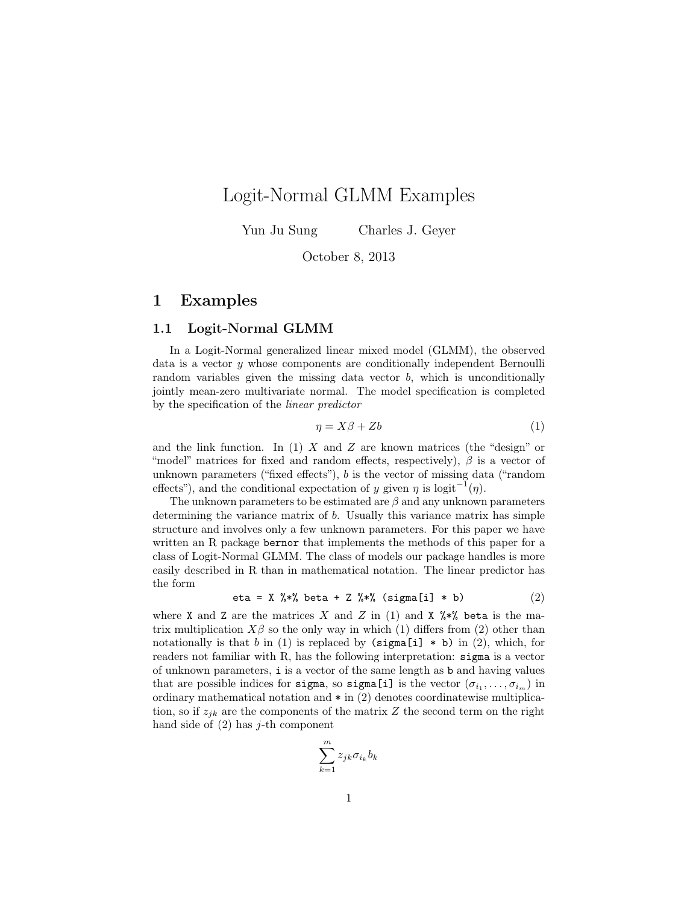# Logit-Normal GLMM Examples

Yun Ju Sung Charles J. Geyer

October 8, 2013

## 1 Examples

#### 1.1 Logit-Normal GLMM

In a Logit-Normal generalized linear mixed model (GLMM), the observed data is a vector y whose components are conditionally independent Bernoulli random variables given the missing data vector  $b$ , which is unconditionally jointly mean-zero multivariate normal. The model specification is completed by the specification of the linear predictor

$$
\eta = X\beta + Zb \tag{1}
$$

and the link function. In (1) X and Z are known matrices (the "design" or "model" matrices for fixed and random effects, respectively),  $\beta$  is a vector of unknown parameters ("fixed effects"), b is the vector of missing data ("random effects"), and the conditional expectation of y given  $\eta$  is logit<sup>-1</sup> $(\eta)$ .

The unknown parameters to be estimated are  $\beta$  and any unknown parameters determining the variance matrix of b. Usually this variance matrix has simple structure and involves only a few unknown parameters. For this paper we have written an R package bernor that implements the methods of this paper for a class of Logit-Normal GLMM. The class of models our package handles is more easily described in R than in mathematical notation. The linear predictor has the form

eta = X  $\frac{6}{5}$  % beta + Z  $\frac{6}{5}$  % (sigma[i] \* b) (2)

where X and Z are the matrices X and Z in (1) and X  $\frac{1}{2}$  is the matrix multiplication  $X\beta$  so the only way in which (1) differs from (2) other than notationally is that b in (1) is replaced by  $(sigma[i] * b)$  in (2), which, for readers not familiar with R, has the following interpretation: sigma is a vector of unknown parameters, i is a vector of the same length as b and having values that are possible indices for sigma, so sigma[i] is the vector  $(\sigma_{i_1}, \ldots, \sigma_{i_m})$  in ordinary mathematical notation and  $*$  in (2) denotes coordinatewise multiplication, so if  $z_{ik}$  are the components of the matrix Z the second term on the right hand side of  $(2)$  has j-th component

$$
\sum_{k=1}^m z_{jk} \sigma_{i_k} b_k
$$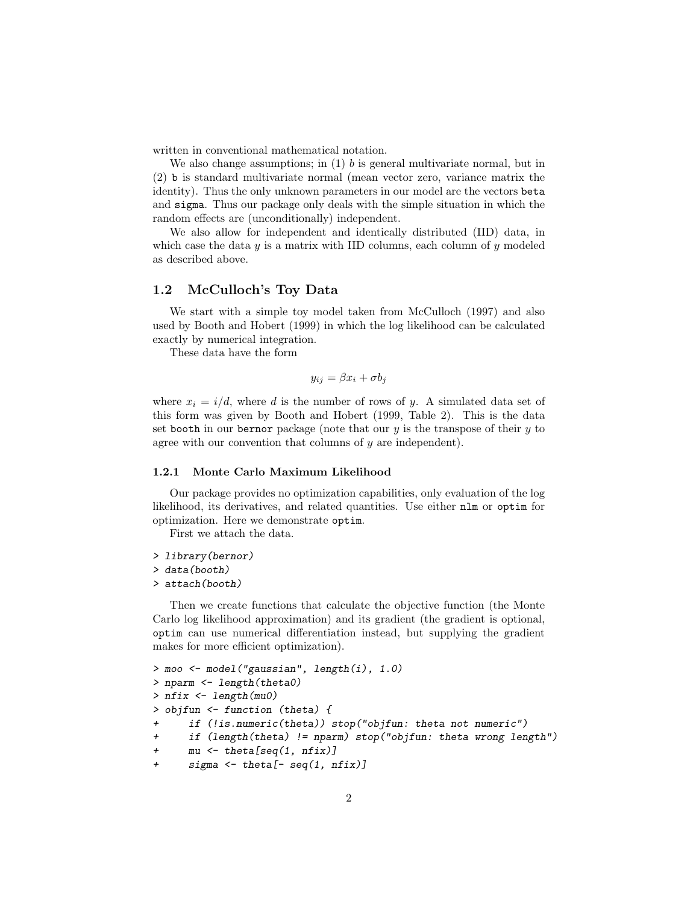written in conventional mathematical notation.

We also change assumptions; in  $(1)$  b is general multivariate normal, but in (2) b is standard multivariate normal (mean vector zero, variance matrix the identity). Thus the only unknown parameters in our model are the vectors beta and sigma. Thus our package only deals with the simple situation in which the random effects are (unconditionally) independent.

We also allow for independent and identically distributed (IID) data, in which case the data  $y$  is a matrix with IID columns, each column of  $y$  modeled as described above.

### 1.2 McCulloch's Toy Data

We start with a simple toy model taken from McCulloch (1997) and also used by Booth and Hobert (1999) in which the log likelihood can be calculated exactly by numerical integration.

These data have the form

$$
y_{ij} = \beta x_i + \sigma b_j
$$

where  $x_i = i/d$ , where d is the number of rows of y. A simulated data set of this form was given by Booth and Hobert (1999, Table 2). This is the data set booth in our bernor package (note that our  $y$  is the transpose of their  $y$  to agree with our convention that columns of y are independent).

#### 1.2.1 Monte Carlo Maximum Likelihood

Our package provides no optimization capabilities, only evaluation of the log likelihood, its derivatives, and related quantities. Use either nlm or optim for optimization. Here we demonstrate optim.

First we attach the data.

```
> library(bernor)
```

```
> data(booth)
```
> attach(booth)

Then we create functions that calculate the objective function (the Monte Carlo log likelihood approximation) and its gradient (the gradient is optional, optim can use numerical differentiation instead, but supplying the gradient makes for more efficient optimization).

```
> moo <- model("gaussian", length(i), 1.0)
> nparm <- length(theta0)
> nfix <- length(mu0)
> objfun <- function (theta) {
      if (!is.numeric(theta)) stop("objfun: theta not numeric")
+ if (length(theta) != nparm) stop("objfun: theta wrong length")
      mu \leftarrow \text{theta}[\text{seq}(1, \text{nfix})]+ sigma <- theta[- seq(1, nfix)]
```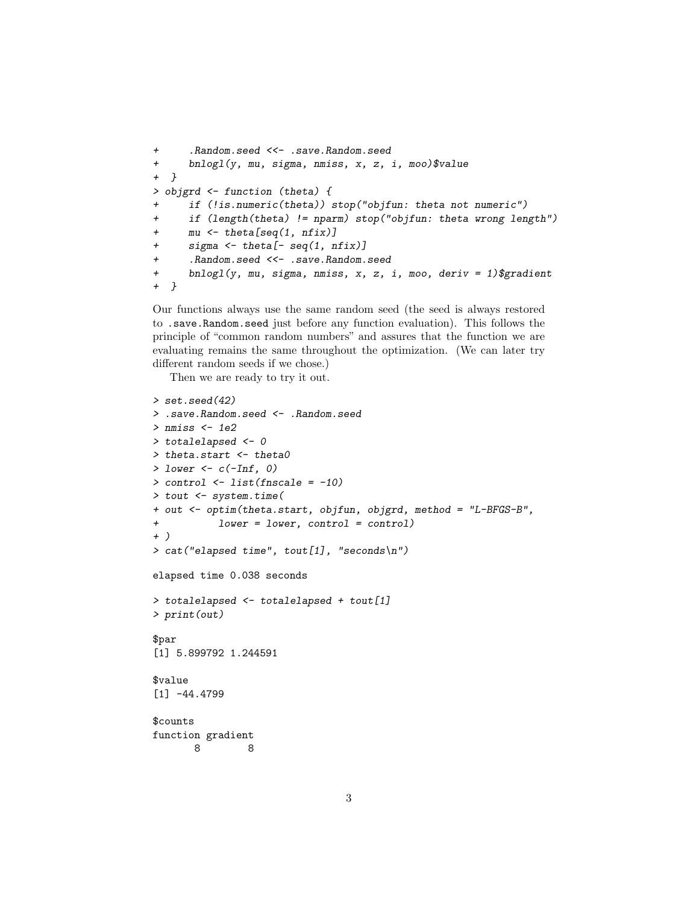```
+ .Random.seed <<- .save.Random.seed
+ bnlogl(y, mu, sigma, nmiss, x, z, i, moo)$value
+ }
> objgrd <- function (theta) {
     if (!is.numeric(theta)) stop("objfun: theta not numeric")
+ if (length(theta) != nparm) stop("objfun: theta wrong length")
+ mu <- theta[seq(1, nfix)]
+ sigma <- theta[- seq(1, nfix)]
     .Random.seed <<- .save.Random.seed
+ bnlogl(y, mu, sigma, nmiss, x, z, i, moo, deriv = 1)$gradient
+ }
```
Our functions always use the same random seed (the seed is always restored to .save.Random.seed just before any function evaluation). This follows the principle of "common random numbers" and assures that the function we are evaluating remains the same throughout the optimization. (We can later try different random seeds if we chose.)

Then we are ready to try it out.

```
> set.seed(42)
> .save.Random.seed <- .Random.seed
> nmiss <- 1e2
> totalelapsed <- 0
> theta.start <- theta0
> lower <- c(-Inf, 0)
> control <- list(fnscale = -10)
> tout <- system.time(
+ out <- optim(theta.start, objfun, objgrd, method = "L-BFGS-B",
           lower = lower, control = control)+ )
> cat("elapsed time", tout[1], "seconds\n")
elapsed time 0.038 seconds
> totalelapsed <- totalelapsed + tout[1]
> print(out)
$par
[1] 5.899792 1.244591
$value
[1] -44.4799
$counts
function gradient
      8 8
```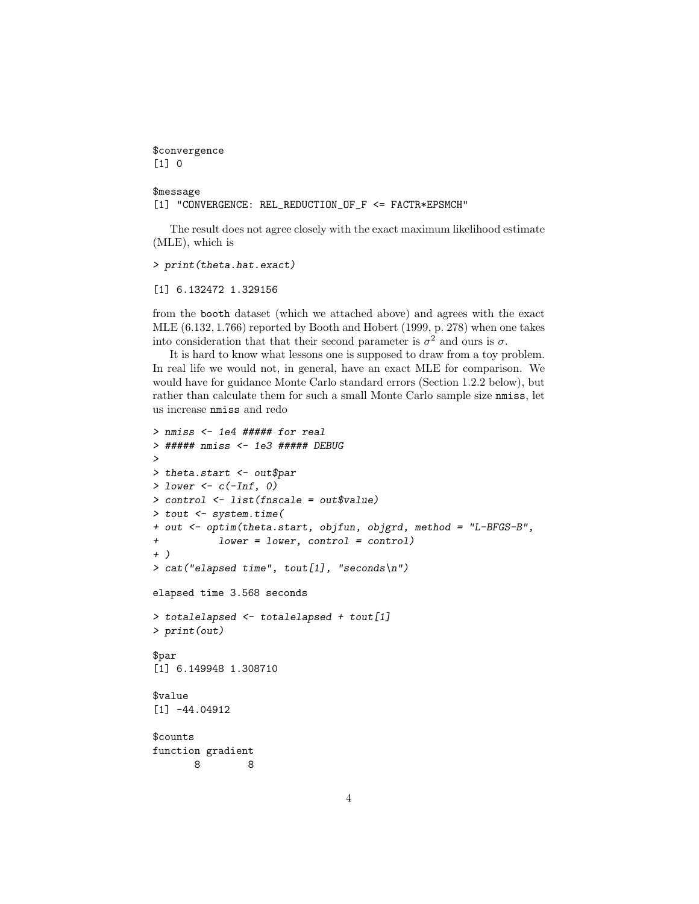\$convergence [1] 0

### \$message

[1] "CONVERGENCE: REL\_REDUCTION\_OF\_F <= FACTR\*EPSMCH"

The result does not agree closely with the exact maximum likelihood estimate (MLE), which is

> print(theta.hat.exact)

[1] 6.132472 1.329156

from the booth dataset (which we attached above) and agrees with the exact MLE (6.132, 1.766) reported by Booth and Hobert (1999, p. 278) when one takes into consideration that that their second parameter is  $\sigma^2$  and ours is  $\sigma$ .

It is hard to know what lessons one is supposed to draw from a toy problem. In real life we would not, in general, have an exact MLE for comparison. We would have for guidance Monte Carlo standard errors (Section 1.2.2 below), but rather than calculate them for such a small Monte Carlo sample size nmiss, let us increase nmiss and redo

```
> nmiss <- 1e4 ##### for real
> ##### nmiss <- 1e3 ##### DEBUG
>
> theta.start <- out$par
> lower <- c(-Inf, 0)> control <- list(fnscale = out$value)
> tout <- system.time(
+ out <- optim(theta.start, objfun, objgrd, method = "L-BFGS-B",
+ lower = lower, control = control)
+ )
> cat("elapsed time", tout[1], "seconds\n")
elapsed time 3.568 seconds
> totalelapsed <- totalelapsed + tout[1]
> print(out)
$par
[1] 6.149948 1.308710
$value
[1] -44.04912
$counts
function gradient
      8 8
```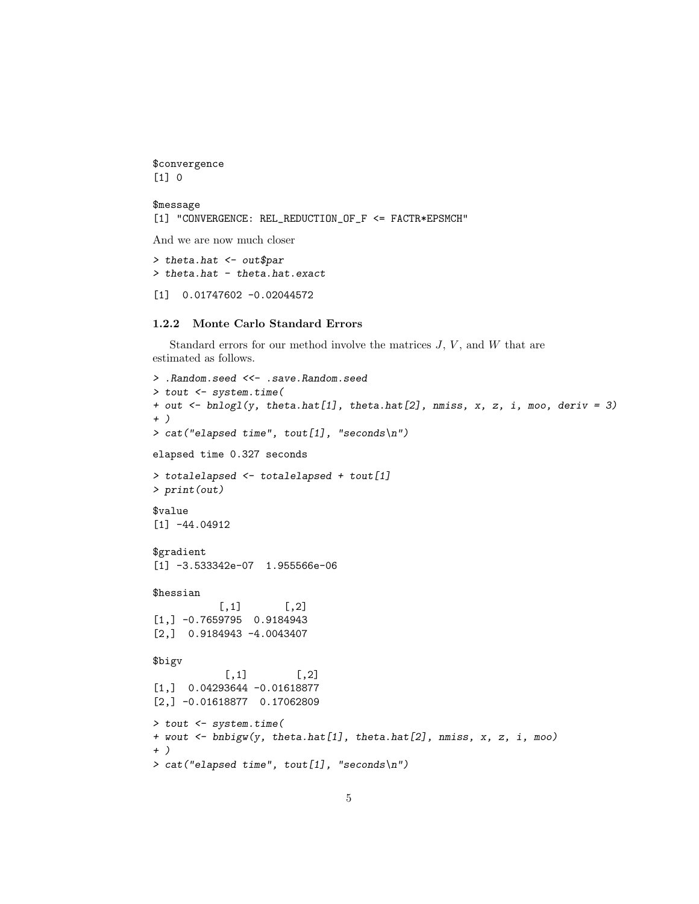```
$convergence
[1] 0
```

```
$message
[1] "CONVERGENCE: REL_REDUCTION_OF_F <= FACTR*EPSMCH"
```
And we are now much closer

```
> theta.hat <- out$par
> theta.hat - theta.hat.exact
```
[1] 0.01747602 -0.02044572

#### 1.2.2 Monte Carlo Standard Errors

Standard errors for our method involve the matrices  $J, V$ , and  $W$  that are estimated as follows.

```
> .Random.seed <<- .save.Random.seed
> tout <- system.time(
+ out <- bnlogl(y, theta.hat[1], theta.hat[2], nmiss, x, z, i, moo, deriv = 3)
+ )
> cat("elapsed time", tout[1], "seconds\n")
elapsed time 0.327 seconds
> totalelapsed <- totalelapsed + tout[1]
> print(out)
$value
[1] -44.04912
$gradient
[1] -3.533342e-07 1.955566e-06
$hessian
           [,1] [,2][1,] -0.7659795 0.9184943
[2,] 0.9184943 -4.0043407
$bigv
           [,1] [,2][1,] 0.04293644 -0.01618877
[2,] -0.01618877 0.17062809
> tout <- system.time(
+ wout <- bnbigw(y, theta.hat[1], theta.hat[2], nmiss, x, z, i, moo)
+ )
> cat("elapsed time", tout[1], "seconds\n")
```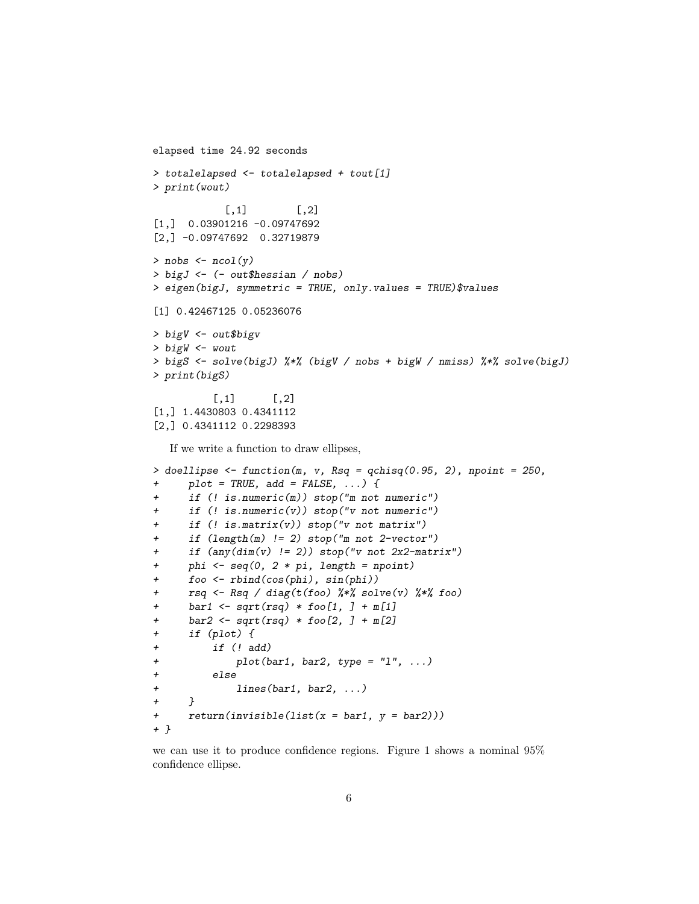```
elapsed time 24.92 seconds
> totalelapsed <- totalelapsed + tout[1]
> print(wout)
           [,1] [,2][1,] 0.03901216 -0.09747692
[2,] -0.09747692 0.32719879
> nobs \leq ncol(y)
> bigJ <- (- out$hessian / nobs)
> eigen(bigJ, symmetric = TRUE, only.values = TRUE)$values
[1] 0.42467125 0.05236076
> bigV <- out$bigv
> bigW <- wout
> bigS <- solve(bigJ) %*% (bigV / nobs + bigW / nmiss) %*% solve(bigJ)
> print(bigS)
         [ ,1] [ ,2][1,] 1.4430803 0.4341112
[2,] 0.4341112 0.2298393
  If we write a function to draw ellipses,
> doellipse <- function(m, v, Rsq = qchisq(0.95, 2), npoint = 250,
+ plot = TRUE, add = FALSE, ...) {
     if (! is.numeric(m)) stop("m not numeric")
     if (! is.numeric(v)) stop("v not numeric")
     if (! is.matrix(v)) stop("v not matrix")if (length(m) != 2) stop("m not 2-vector")if (\text{any}(dim(v) \mid = 2)) stop("v not 2x2-matrix")phi \leq seq(0, 2 * pi, length = npoint)
+ foo <- rbind(cos(phi), sin(phi))
+ rsq <- Rsq / diag(t(foo) %*% solve(v) %*% foo)
+ bar1 <- sqrt(rsq) * foo[1, ] + m[1]
+ bar2 <- sqrt(rsq) * foo[2, ] + m[2]
+ if (plot) {
+ if (! add)
+ plot(bar1, bar2, type = "l", ...)
+ else
+ lines(bar1, bar2, ...)
+ }
+ return (invisible (list(x = bar1, y = bar2)))+ }
```
we can use it to produce confidence regions. Figure 1 shows a nominal 95% confidence ellipse.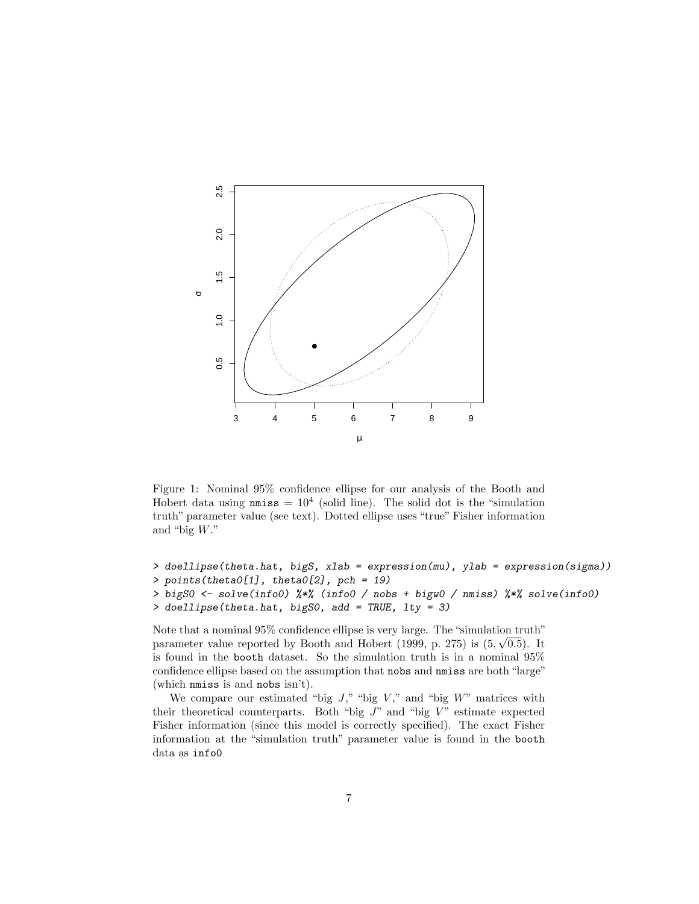

Figure 1: Nominal 95% confidence ellipse for our analysis of the Booth and Hobert data using  $nmiss = 10<sup>4</sup>$  (solid line). The solid dot is the "simulation truth" parameter value (see text). Dotted ellipse uses "true" Fisher information and "big W."

```
> doellipse(theta.hat, bigS, xlab = expression(mu), ylab = expression(sigma))
> points(theta0[1], theta0[2], pch = 19)
> bigS0 <- solve(info0) %*% (info0 / nobs + bigw0 / nmiss) %*% solve(info0)
> doellipse(theta.hat, bigS0, add = TRUE, lty = 3)
```
Note that a nominal 95% confidence ellipse is very large. The "simulation truth" parameter value reported by Booth and Hobert (1999, p. 275) is  $(5, \sqrt{0.5})$ . It is found in the booth dataset. So the simulation truth is in a nominal 95% confidence ellipse based on the assumption that nobs and nmiss are both "large" (which nmiss is and nobs isn't).

We compare our estimated "big  $J$ ," "big  $V$ ," and "big  $W$ " matrices with their theoretical counterparts. Both "big  $J$ " and "big  $V$ " estimate expected Fisher information (since this model is correctly specified). The exact Fisher information at the "simulation truth" parameter value is found in the booth data as info0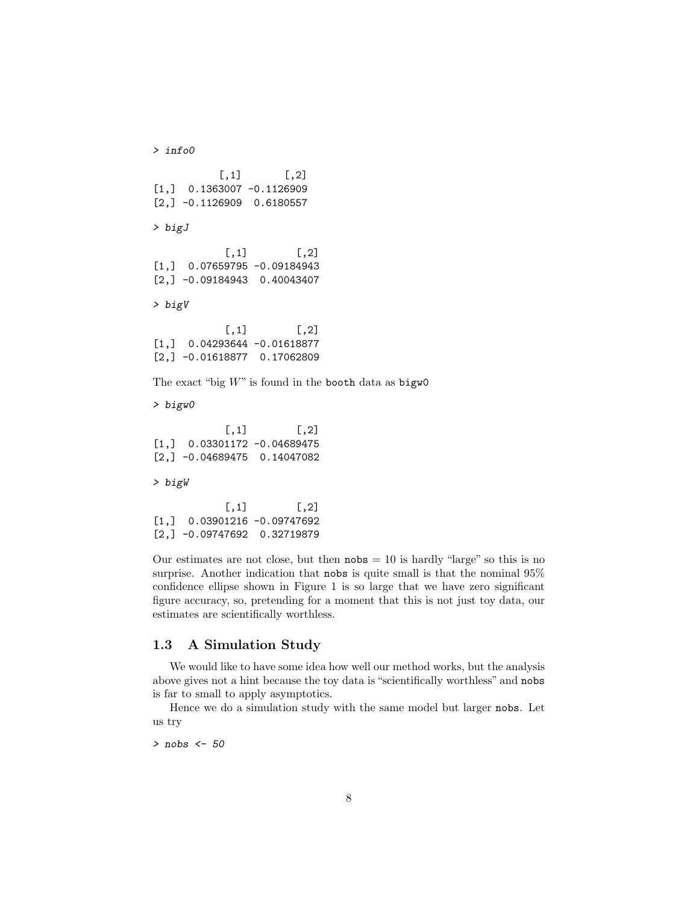```
> info0
          [,1] [,2][1,] 0.1363007 -0.1126909
[2,] -0.1126909 0.6180557
> bigJ
           [,1] [,2][1,] 0.07659795 -0.09184943
[2,] -0.09184943 0.40043407
> bigV
           [,1] [,2][1,] 0.04293644 -0.01618877
[2,] -0.01618877 0.17062809
The exact "big W" is found in the booth data as bigw0
> bigw0
           [,1] [,2][1,] 0.03301172 -0.04689475
[2,] -0.04689475 0.14047082
> bigW
           [ ,1] [ ,2][1,] 0.03901216 -0.09747692
[2,] -0.09747692 0.32719879
```
Our estimates are not close, but then  $nobs = 10$  is hardly "large" so this is no surprise. Another indication that nobs is quite small is that the nominal 95% confidence ellipse shown in Figure 1 is so large that we have zero significant figure accuracy, so, pretending for a moment that this is not just toy data, our estimates are scientifically worthless.

#### 1.3 A Simulation Study

We would like to have some idea how well our method works, but the analysis above gives not a hint because the toy data is "scientifically worthless" and nobs is far to small to apply asymptotics.

Hence we do a simulation study with the same model but larger nobs. Let us try

> nobs <- 50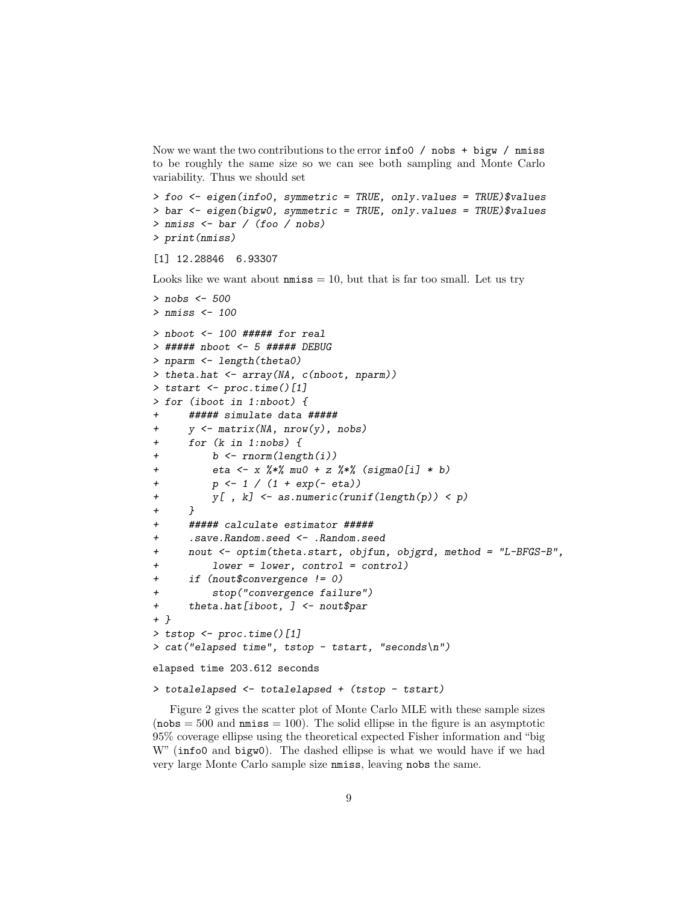Now we want the two contributions to the error info0 / nobs + bigw / nmiss to be roughly the same size so we can see both sampling and Monte Carlo variability. Thus we should set

```
> foo <- eigen(info0, symmetric = TRUE, only.values = TRUE)$values
> bar <- eigen(bigw0, symmetric = TRUE, only.values = TRUE)$values
> nmiss <- bar / (foo / nobs)
> print(nmiss)
```

```
[1] 12.28846 6.93307
```
Looks like we want about  $n \text{miss} = 10$ , but that is far too small. Let us try

```
> nobs <-500> nmiss <- 100
> nboot <- 100 ##### for real
> ##### nboot <- 5 ##### DEBUG
> nparm <- length(theta0)
> theta.hat <- array(NA, c(nboot, nparm))
> tstart <- proc.time()[1]
> for (iboot in 1:nboot) {
      + ##### simulate data #####
      y \leftarrow matrix(MA, nrow(y), nobs)+ for (k in 1:nobs) {
+ b <- rnorm(length(i))
          eta <- x %*% mu0 + z %*% (sigma0[i] * b)
+ p \leftarrow 1 / (1 + \exp(- \text{ eta}))y[, k] <- as.numeric(runif(length(p)) < p)
+ }
      + ##### calculate estimator #####
      .save.Random.seed <- .Random.seed
     + nout <- optim(theta.start, objfun, objgrd, method = "L-BFGS-B",
+ lower = lower, control = control)
+ if (nout$convergence != 0)
+ stop("convergence failure")
+ theta.hat[iboot, ] <- nout$par
+ }
> tstop <- proc.time()[1]
> cat("elapsed time", tstop - tstart, "seconds\n")
elapsed time 203.612 seconds
```

```
> totalelapsed <- totalelapsed + (tstop - tstart)
```
Figure 2 gives the scatter plot of Monte Carlo MLE with these sample sizes  $(nobs = 500$  and  $nmiss = 100)$ . The solid ellipse in the figure is an asymptotic 95% coverage ellipse using the theoretical expected Fisher information and "big W" (info0 and bigw0). The dashed ellipse is what we would have if we had very large Monte Carlo sample size nmiss, leaving nobs the same.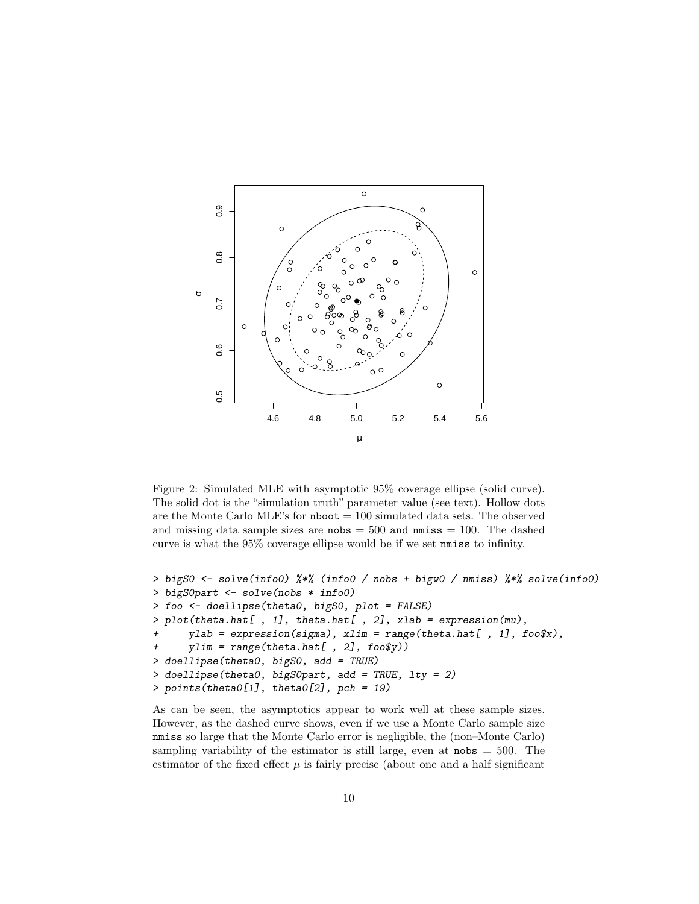

Figure 2: Simulated MLE with asymptotic 95% coverage ellipse (solid curve). The solid dot is the "simulation truth" parameter value (see text). Hollow dots are the Monte Carlo MLE's for  $\bf nboot = 100$  simulated data sets. The observed and missing data sample sizes are  $nobs = 500$  and  $nmiss = 100$ . The dashed curve is what the 95% coverage ellipse would be if we set nmiss to infinity.

```
> bigS0 <- solve(info0) %*% (info0 / nobs + bigw0 / nmiss) %*% solve(info0)
> bigS0part <- solve(nobs * info0)
> foo <- doellipse(theta0, bigS0, plot = FALSE)
> plot(theta.hat[ , 1], theta.hat[ , 2], xlab = expression(mu),
+ ylab = expression(sigma), xlim = range(theta.hat[ , 1], foo$x),
     ylim = range(theta.hat[, 2], foo\y))
> doellipse(theta0, bigS0, add = TRUE)
> doellipse(theta0, bigS0part, add = TRUE, lty = 2)
> points(theta0[1], theta0[2], pch = 19)
```
As can be seen, the asymptotics appear to work well at these sample sizes. However, as the dashed curve shows, even if we use a Monte Carlo sample size nmiss so large that the Monte Carlo error is negligible, the (non–Monte Carlo) sampling variability of the estimator is still large, even at  $nobs = 500$ . The estimator of the fixed effect  $\mu$  is fairly precise (about one and a half significant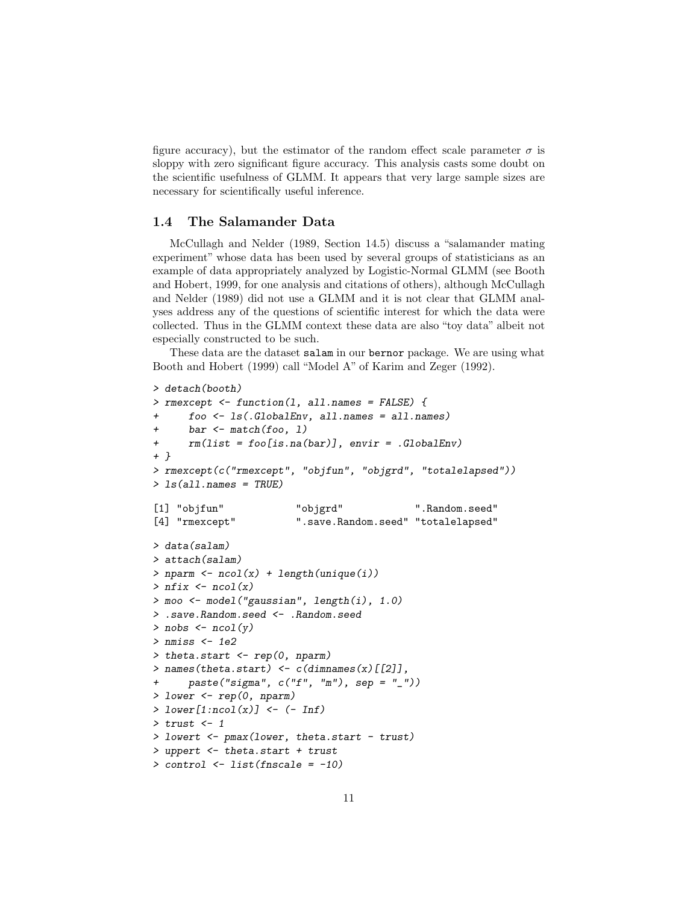figure accuracy), but the estimator of the random effect scale parameter  $\sigma$  is sloppy with zero significant figure accuracy. This analysis casts some doubt on the scientific usefulness of GLMM. It appears that very large sample sizes are necessary for scientifically useful inference.

### 1.4 The Salamander Data

McCullagh and Nelder (1989, Section 14.5) discuss a "salamander mating experiment" whose data has been used by several groups of statisticians as an example of data appropriately analyzed by Logistic-Normal GLMM (see Booth and Hobert, 1999, for one analysis and citations of others), although McCullagh and Nelder (1989) did not use a GLMM and it is not clear that GLMM analyses address any of the questions of scientific interest for which the data were collected. Thus in the GLMM context these data are also "toy data" albeit not especially constructed to be such.

These data are the dataset salam in our bernor package. We are using what Booth and Hobert (1999) call "Model A" of Karim and Zeger (1992).

```
> detach(booth)
> rmexcept <- function(l, all.names = FALSE) {
      foo \leftarrow ls(.GlobalEnv, all.name = all.name)bar \leq match(foo, 1)
      rm(list = foo[is, na(bar)], envir = .GlobalEnv)+ }
> rmexcept(c("rmexcept", "objfun", "objgrd", "totalelapsed"))
> ls(all.names = TRUE)
[1] "objfun" "objgrd" ".Random.seed"
[4] "rmexcept" ".save.Random.seed" "totalelapsed"
> data(salam)
> attach(salam)
> nparm <- ncol(x) + length(unique(i))
> nfix \leq ncol(x)
> moo <- model("gaussian", length(i), 1.0)
> .save.Random.seed <- .Random.seed
> nobs \leq ncol(y)
> nmiss <- 1e2
> theta.start <- rep(0, nparm)
> names(theta.start) \leftarrow c(dimnames(x)[[2]],
+ paste("sigma", c("f", "m"), sep = "_"))
> lower \leq rep(0, nparm)
> lower[1:ncol(x)] <- (- Inf)
> trust <-1> lowert <- pmax(lower, theta.start - trust)
> uppert <- theta.start + trust
> control <- list(fnscale = -10)
```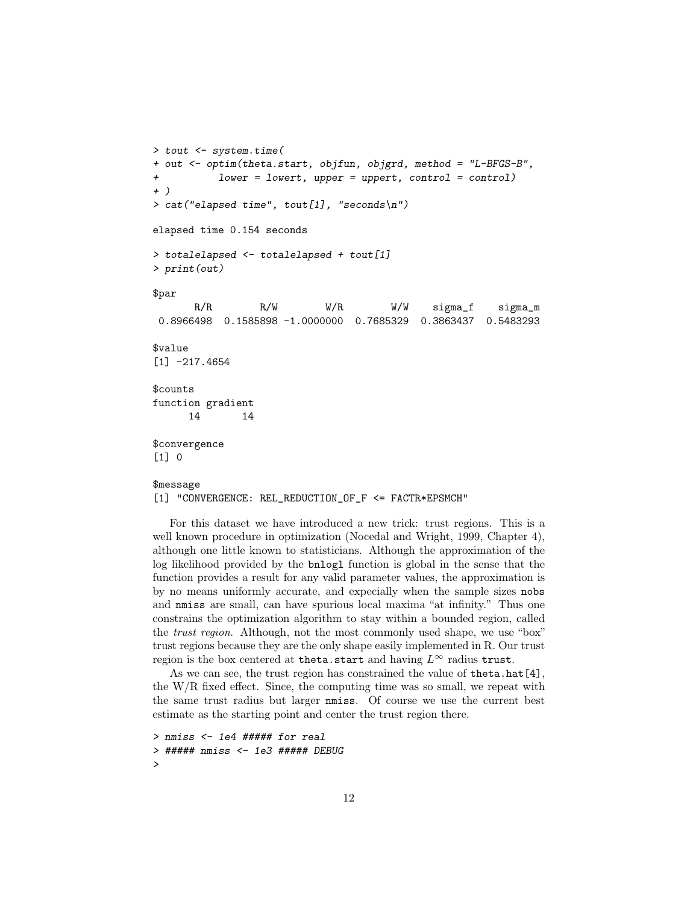```
> tout <- system.time(
+ out <- optim(theta.start, objfun, objgrd, method = "L-BFGS-B",
+ lower = lowert, upper = uppert, control = control)
+ )
> cat('elensed time'', tout[1], ''seconds\nelapsed time 0.154 seconds
> totalelapsed <- totalelapsed + tout[1]
> print(out)
$par
      R/R R/W W/R W/W sigma_f sigma_m
0.8966498 0.1585898 -1.0000000 0.7685329 0.3863437 0.5483293
$value
[1] -217.4654
$counts
function gradient
     14 14
$convergence
[1] 0
$message
```
[1] "CONVERGENCE: REL\_REDUCTION\_OF\_F <= FACTR\*EPSMCH"

For this dataset we have introduced a new trick: trust regions. This is a well known procedure in optimization (Nocedal and Wright, 1999, Chapter 4), although one little known to statisticians. Although the approximation of the log likelihood provided by the bnlogl function is global in the sense that the function provides a result for any valid parameter values, the approximation is by no means uniformly accurate, and expecially when the sample sizes nobs and nmiss are small, can have spurious local maxima "at infinity." Thus one constrains the optimization algorithm to stay within a bounded region, called the trust region. Although, not the most commonly used shape, we use "box" trust regions because they are the only shape easily implemented in R. Our trust region is the box centered at theta.start and having  $L^{\infty}$  radius trust.

As we can see, the trust region has constrained the value of theta.hat[4], the W/R fixed effect. Since, the computing time was so small, we repeat with the same trust radius but larger nmiss. Of course we use the current best estimate as the starting point and center the trust region there.

```
> nmiss <- 1e4 ##### for real
> ##### nmiss <- 1e3 ##### DEBUG
>
```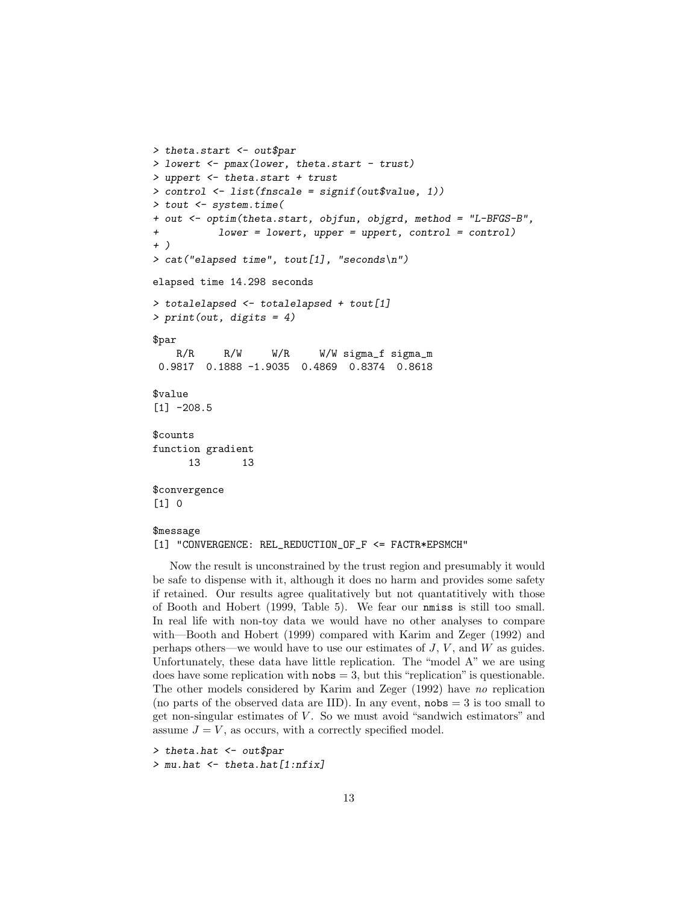```
> theta.start <- out$par
> lowert <- pmax(lower, theta.start - trust)
> uppert <- theta.start + trust
> control <- list(fnscale = signif(out$value, 1))
> tout <- system.time(
+ out <- optim(theta.start, objfun, objgrd, method = "L-BFGS-B",
          lower = lower, upper = upper, control = control)+ )
> cat("elapsed time", tout[1], "seconds\n")
elapsed time 14.298 seconds
> totalelapsed <- totalelapsed + tout[1]
> print(out, digits = 4)
$par
   R/R R/W W/R W/W sigma_f sigma_m
0.9817 0.1888 -1.9035 0.4869 0.8374 0.8618
$value
[1] -208.5$counts
function gradient
     13 13
$convergence
[1] 0
```
#### \$message

[1] "CONVERGENCE: REL\_REDUCTION\_OF\_F <= FACTR\*EPSMCH"

Now the result is unconstrained by the trust region and presumably it would be safe to dispense with it, although it does no harm and provides some safety if retained. Our results agree qualitatively but not quantatitively with those of Booth and Hobert (1999, Table 5). We fear our nmiss is still too small. In real life with non-toy data we would have no other analyses to compare with—Booth and Hobert (1999) compared with Karim and Zeger (1992) and perhaps others—we would have to use our estimates of  $J, V$ , and  $W$  as guides. Unfortunately, these data have little replication. The "model A" we are using does have some replication with  $\texttt{nobs} = 3$ , but this "replication" is questionable. The other models considered by Karim and Zeger (1992) have no replication (no parts of the observed data are IID). In any event,  $nobs = 3$  is too small to get non-singular estimates of  $V$ . So we must avoid "sandwich estimators" and assume  $J = V$ , as occurs, with a correctly specified model.

```
> theta.hat <- out$par
> mu.hat <- theta.hat[1:nfix]
```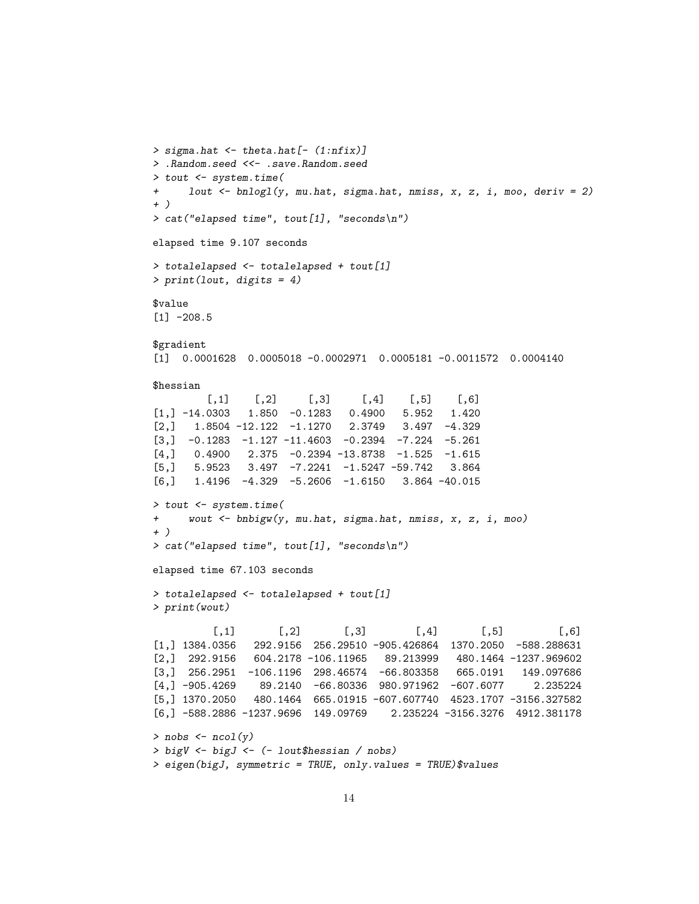```
> sigma.hat <- theta.hat[- (1:nfix)]
> .Random.seed <<- .save.Random.seed
> tout <- system.time(
+ lout <- bnlogl(y, mu.hat, sigma.hat, nmiss, x, z, i, moo, deriv = 2)
+ )
> cat("elapsed time", tout[1], "seconds\n")
elapsed time 9.107 seconds
> totalelapsed <- totalelapsed + tout[1]
> print(lout, digits = 4)
$value
[1] -208.5$gradient
[1] 0.0001628 0.0005018 -0.0002971 0.0005181 -0.0011572 0.0004140
$hessian
        [0,1] [0,2] [0,3] [0,4] [0,5] [0,6][1,] -14.0303 1.850 -0.1283 0.4900 5.952 1.420
[2,] 1.8504 -12.122 -1.1270 2.3749 3.497 -4.329
[3,] -0.1283 -1.127 -11.4603 -0.2394 -7.224 -5.261
[4,] 0.4900 2.375 -0.2394 -13.8738 -1.525 -1.615
[5,] 5.9523 3.497 -7.2241 -1.5247 -59.742 3.864
[6,] 1.4196 -4.329 -5.2606 -1.6150 3.864 -40.015
> tout <- system.time(
+ wout <- bnbigw(y, mu.hat, sigma.hat, nmiss, x, z, i, moo)
+ )
> cat("elapsed time", tout[1], "seconds\n")
elapsed time 67.103 seconds
> totalelapsed <- totalelapsed + tout[1]
> print(wout)
         [0,1] [0,2] [0,3] [0,4] [0,5] [0,6][1,] 1384.0356 292.9156 256.29510 -905.426864 1370.2050 -588.288631
[2,] 292.9156 604.2178 -106.11965 89.213999 480.1464 -1237.969602
[3,] 256.2951 -106.1196 298.46574 -66.803358 665.0191 149.097686
[4,] -905.4269 89.2140 -66.80336 980.971962 -607.6077 2.235224
[5,] 1370.2050 480.1464 665.01915 -607.607740 4523.1707 -3156.327582
[6,] -588.2886 -1237.9696 149.09769 2.235224 -3156.3276 4912.381178
> nobs \leq ncol(y)
> bigV <- bigJ <- (- lout$hessian / nobs)
```

```
> eigen(bigJ, symmetric = TRUE, only.values = TRUE)$values
```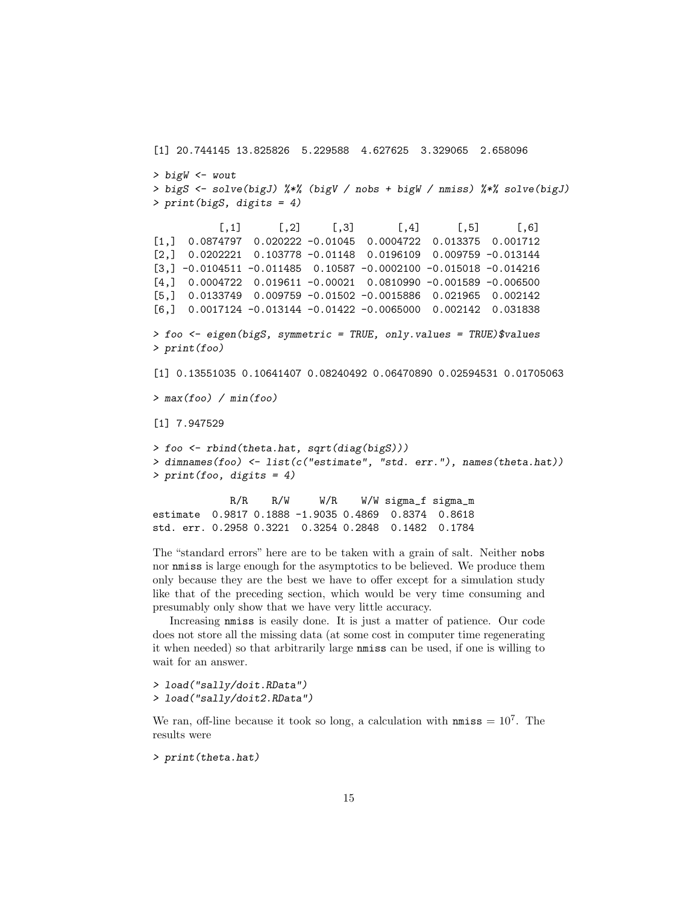```
[1] 20.744145 13.825826 5.229588 4.627625 3.329065 2.658096
> bigW <- wout
> bigS <- solve(bigJ) %*% (bigV / nobs + bigW / nmiss) %*% solve(bigJ)
> print(bigS, digits = 4)
          [0,1] [0,2] [0,3] [0,4] [0,5] [0,6][1,] 0.0874797 0.020222 -0.01045 0.0004722 0.013375 0.001712
[2,] 0.0202221 0.103778 -0.01148 0.0196109 0.009759 -0.013144
[3,] -0.0104511 -0.011485 0.10587 -0.0002100 -0.015018 -0.014216
[4,] 0.0004722 0.019611 -0.00021 0.0810990 -0.001589 -0.006500
[5,] 0.0133749 0.009759 -0.01502 -0.0015886 0.021965 0.002142
[6,] 0.0017124 -0.013144 -0.01422 -0.0065000 0.002142 0.031838
> foo <- eigen(bigS, symmetric = TRUE, only.values = TRUE)$values
> print(foo)
[1] 0.13551035 0.10641407 0.08240492 0.06470890 0.02594531 0.01705063
> max(foo) / min(foo)[1] 7.947529
> foo <- rbind(theta.hat, sqrt(diag(bigS)))
> dimnames(foo) <- list(c("estimate", "std. err."), names(theta.hat))
> print(foo, digits = 4)
            R/R R/W W/R W/W sigma_f sigma_m
estimate 0.9817 0.1888 -1.9035 0.4869 0.8374 0.8618
std. err. 0.2958 0.3221 0.3254 0.2848 0.1482 0.1784
```
The "standard errors" here are to be taken with a grain of salt. Neither nobs nor nmiss is large enough for the asymptotics to be believed. We produce them only because they are the best we have to offer except for a simulation study like that of the preceding section, which would be very time consuming and presumably only show that we have very little accuracy.

Increasing nmiss is easily done. It is just a matter of patience. Our code does not store all the missing data (at some cost in computer time regenerating it when needed) so that arbitrarily large nmiss can be used, if one is willing to wait for an answer.

- > load("sally/doit.RData")
- > load("sally/doit2.RData")

We ran, off-line because it took so long, a calculation with  $nmiss = 10<sup>7</sup>$ . The results were

```
> print(theta.hat)
```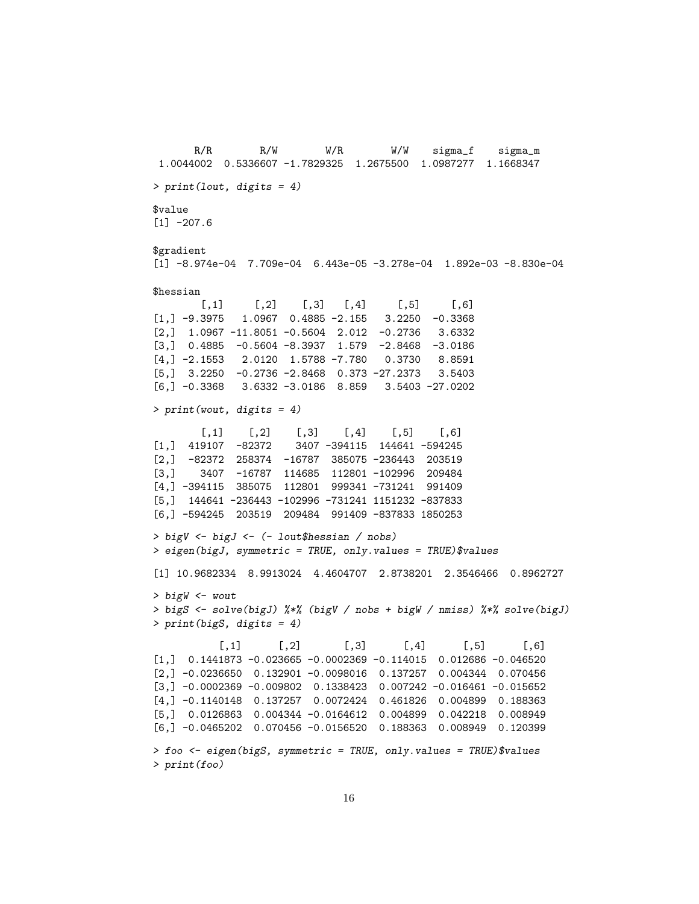R/R R/W W/R W/W sigma\_f sigma\_m 1.0044002 0.5336607 -1.7829325 1.2675500 1.0987277 1.1668347 > print(lout, digits = 4) \$value  $[1] -207.6$ \$gradient [1] -8.974e-04 7.709e-04 6.443e-05 -3.278e-04 1.892e-03 -8.830e-04 \$hessian  $[0,1]$   $[0,2]$   $[0,3]$   $[0,4]$   $[0,5]$   $[0,6]$  $[1,]$  -9.3975 1.0967 0.4885 -2.155 3.2250 -0.3368 [2,] 1.0967 -11.8051 -0.5604 2.012 -0.2736 3.6332 [3,] 0.4885 -0.5604 -8.3937 1.579 -2.8468 -3.0186 [4,] -2.1553 2.0120 1.5788 -7.780 0.3730 8.8591 [5,] 3.2250 -0.2736 -2.8468 0.373 -27.2373 3.5403 [6,] -0.3368 3.6332 -3.0186 8.859 3.5403 -27.0202 > print(wout, digits = 4)  $[0,1]$   $[0,2]$   $[0,3]$   $[0,4]$   $[0,5]$   $[0,6]$ [1,] 419107 -82372 3407 -394115 144641 -594245 [2,] -82372 258374 -16787 385075 -236443 203519 [3,] 3407 -16787 114685 112801 -102996 209484 [4,] -394115 385075 112801 999341 -731241 991409 [5,] 144641 -236443 -102996 -731241 1151232 -837833 [6,] -594245 203519 209484 991409 -837833 1850253 > bigV <- bigJ <- (- lout\$hessian / nobs) > eigen(bigJ, symmetric = TRUE, only.values = TRUE)\$values [1] 10.9682334 8.9913024 4.4604707 2.8738201 2.3546466 0.8962727 > bigW <- wout > bigS <- solve(bigJ) %\*% (bigV / nobs + bigW / nmiss) %\*% solve(bigJ) > print(bigS, digits = 4)  $[0,1]$   $[0,2]$   $[0,3]$   $[0,4]$   $[0,5]$   $[0,6]$ [1,] 0.1441873 -0.023665 -0.0002369 -0.114015 0.012686 -0.046520 [2,] -0.0236650 0.132901 -0.0098016 0.137257 0.004344 0.070456 [3,] -0.0002369 -0.009802 0.1338423 0.007242 -0.016461 -0.015652 [4,] -0.1140148 0.137257 0.0072424 0.461826 0.004899 0.188363 [5,] 0.0126863 0.004344 -0.0164612 0.004899 0.042218 0.008949 [6,] -0.0465202 0.070456 -0.0156520 0.188363 0.008949 0.120399 > foo <- eigen(bigS, symmetric = TRUE, only.values = TRUE)\$values > print(foo)